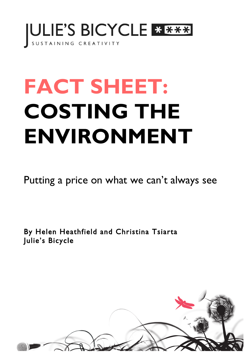

## **FACT SHEET: COSTING THE** ENVIRONMENT

Putting a price on what we can't always see

By Helen Heathfield and Christina Tsiarta Julie's Bicycle

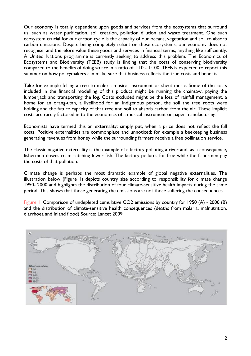Our economy is totally dependent upon goods and services from the ecosystems that surround us, such as water purification, soil creation, pollution dilution and waste treatment. One such ecosystem crucial for our carbon cycle is the capacity of our oceans, vegetation and soil to absorb carbon emissions. Despite being completely reliant on these ecosystems, our economy does not recognise, and therefore value these goods and services in financial terms, anything like sufficiently. A United Nations programme is currently seeking to address this problem. The Economics of Ecosystems and Biodiversity (TEEB) study is finding that the costs of conserving biodiversity compared to the benefits of doing so are in a ratio of 1:10 - 1:100. TEEB is expected to report this summer on how policymakers can make sure that business reflects the true costs and benefits.

Take for example felling a tree to make a musical instrument or sheet music. Some of the costs included in the financial modelling of this product might be running the chainsaw, paying the lumberjack and transporting the log. Costs excluded might be the loss of rainfall management, a home for an orang-utan, a livelihood for an indigenous person, the soil the tree roots were holding and the future capacity of that tree and soil to absorb carbon from the air. These implicit costs are rarely factored in to the economics of a musical instrument or paper manufacturing.

Economists have termed this an externality: simply put, when a price does not reflect the full costs. Positive externalities are commonplace and unnoticed: for example a beekeeping business generating revenues from honey while the surrounding farmers receive a free pollination service.

The classic negative externality is the example of a factory polluting a river and, as a consequence, fishermen downstream catching fewer fish. The factory pollutes for free while the fishermen pay the costs of that pollution.

Climate change is perhaps the most dramatic example of global negative externalities. The illustration below (Figure 1) depicts country size according to responsibility for climate change 1950- 2000 and highlights the distribution of four climate-sensitive health impacts during the same period. This shows that those generating the emissions are not those suffering the consequences.

Figure 1: Comparison of undepleted cumulative CO2 emissions by country for 1950 (A) - 2000 (B) and the distribution of climate-sensitive health consequences (deaths from malaria, malnutrition, diarrhoea and inland flood) Source: Lancet 2009

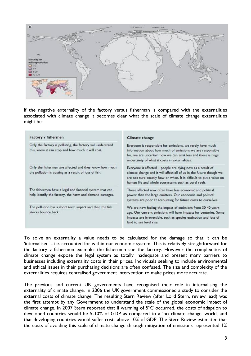

If the negative externality of the factory versus fisherman is compared with the externalities associated with climate change it becomes clear what the scale of climate change externalities might be:

| <b>Factory v fishermen</b>                                                                                          | <b>Climate change</b>                                                                                                                                                                                                                                            |
|---------------------------------------------------------------------------------------------------------------------|------------------------------------------------------------------------------------------------------------------------------------------------------------------------------------------------------------------------------------------------------------------|
| Only the factory is polluting, the factory will understand<br>this, know it can stop and how much it will cost.     | Everyone is responsible for emissions, we rarely have much<br>information about how much of emissions we are responsible<br>for, we are uncertain how we can emit less and there is huge<br>uncertainty of what it costs in externalities.                       |
| Only the fishermen are affected and they know how much<br>the pollution is costing as a result of loss of fish.     | Everyone is affected - people are dying now as a result of<br>climate change and it will affect all of us in the future though we<br>are not sure exactly how or when. It is difficult to put a value on<br>human life and whole ecosystems such as coral reefs. |
| The fishermen have a legal and financial system that can<br>help identify the factory, the harm and demand damages. | Those affected now often have less economic and political<br>power than the large emitters. Our economic and political<br>systems are poor at accounting for future costs to ourselves.                                                                          |
| The pollution has a short term impact and then the fish<br>stocks bounce back.                                      | We are now feeling the impact of emissions from 30-40 years<br>ago. Our current emissions will have impacts for centuries. Some<br>impacts are irreversible, such as species extinction and loss of<br>land to sea level rise.                                   |

To solve an externality a value needs to be calculated for the damage so that it can be 'internalised' - i.e. accounted for within our economic system. This is relatively straightforward for the factory v fishermen example: the fishermen sue the factory. However the complexities of climate change expose the legal system as totally inadequate and present many barriers to businesses including externality costs in their prices. Individuals seeking to include environmental and ethical issues in their purchasing decisions are often confused. The size and complexity of the externalities requires centralised government intervention to make prices more accurate.

The previous and current UK governments have recognised their role in internalising the externality of climate change. In 2006 the UK government commissioned a study to consider the external costs of climate change. The resulting Stern Review (after Lord Stern, review lead) was the first attempt by any Government to understand the scale of the global economic impact of climate change. In 2007 Stern reported that if warming of  $5^{\circ}$ C occurred, the costs of adaption to developed countries would be 5-10% of GDP as compared to a 'no climate change' world, and that developing countries would suffer costs above 10% of GDP. The Stern Review estimated that the costs of avoiding this scale of climate change through mitigation of emissions represented 1%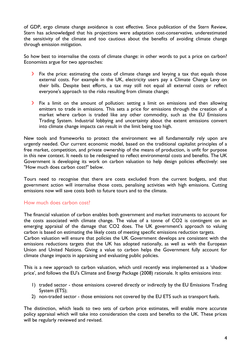of GDP, ergo climate change avoidance is cost effective. Since publication of the Stern Review, Stern has acknowledged that his projections were adaptation cost-conservative, underestimated the sensitivity of the climate and too cautious about the benefits of avoiding climate change through emission mitigation.

So how best to internalise the costs of climate change: in other words to put a price on carbon? Economists argue for two approaches:

- Fix the price: estimating the costs of climate change and levying a tax that equals those external costs. For example in the UK, electricity users pay a Climate Change Levy on their bills. Despite best efforts, a tax may still not equal all external costs or reflect everyone's approach to the risks resulting from climate change;
- **Fix a limit on the amount of pollution: setting a limit on emissions and then allowing** emitters to trade in emissions. This sets a price for emissions through the creation of a market where carbon is traded like any other commodity, such as the EU Emissions Trading System. Industrial lobbying and uncertainty about the extent emissions convert into climate change impacts can result in the limit being too high.

New tools and frameworks to protect the environment we all fundamentally rely upon are urgently needed. Our current economic model, based on the traditional capitalist principles of a free market, competition, and private ownership of the means of production, is unfit for purpose in this new context. It needs to be redesigned to reflect environmental costs and benefits. The UK Government is developing its work on carbon valuation to help design policies effectively: see "How much does carbon cost?" below.

Tours need to recognise that there are costs excluded from the current budgets, and that government action will internalise those costs, penalising activities with high emissions. Cutting emissions now will save costs both to future tours and to the climate.

## How much does carbon cost?

The financial valuation of carbon enables both government and market instruments to account for the costs associated with climate change. The value of a tonne of CO2 is contingent on an emerging appraisal of the damage that CO2 does. The UK government's approach to valuing carbon is based on estimating the likely costs of meeting specific emissions reduction targets. Carbon valuation will ensure that policies the UK Government develops are consistent with the emissions reductions targets that the UK has adopted nationally, as well as with the European Union and United Nations. Giving a value to carbon helps the Government fully account for climate change impacts in appraising and evaluating public policies.

This is a new approach to carbon valuation, which until recently was implemented as a 'shadow price', and follows the EU's Climate and Energy Package (2008) rationale. It splits emissions into:

- 1) traded sector those emissions covered directly or indirectly by the EU Emissions Trading System (ETS);
- 2) non-traded sector those emissions not covered by the EU ETS such as transport fuels.

The distinction, which leads to two sets of carbon price estimates, will enable more accurate policy appraisal which will take into consideration the costs and benefits to the UK. These prices will be regularly reviewed and revised.